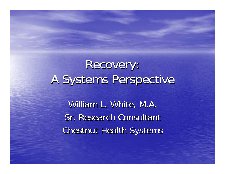## Recovery: A Systems Perspective

William L. White, M.A. Sr. Research Consultant **Chestnut Health Systems**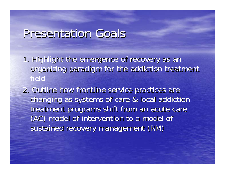#### Presentation Goals

1. Highlight the emergence of recovery as an organizing paradigm for the addiction treatment field

2. Outline how frontline service practices are changing as systems of care & local addiction changing as systems of care & local addiction treatment programs shift from an acute care (AC) model of intervention to a model of (AC) model of intervention to a model of sustained recovery management (RM)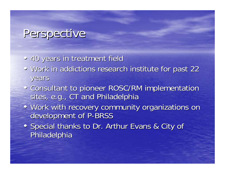#### Perspective

- •40 years in treatment field 40 years in treatment field
- Work in addictions research institute for past 22 years
- Consultant to pioneer ROSC/RM implementation sites, e.g., CT and Philadelphia
- Work with recovery community organizations on development of P-BRSS
- Special thanks to Dr. Arthur Evans & City of Philadelphia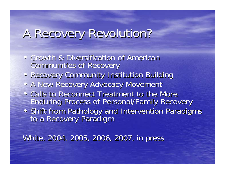### A Recovery Revolution?

- Growth & Diversification of American Communities of Recovery
- Recovery Community Institution Building
- A New Recovery Advocacy Movement
- Calls to Reconnect Treatment to the More Enduring Process of Personal/Family Recovery
- Shift from Pathology and Intervention Paradigms to a Recovery Paradigm

White, 2004, 2005, 2006, 2007, in press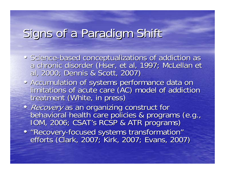### Signs of a Paradigm Shift

- Science Science-based conceptualizations of addiction as<br>a chronic disorder (Hser, et al, 1997; McLellan et<br>al, 2000; Dennis & Scott, 2007)
- Accumulation of systems performance data on<br>limitations of acute care (AC) model of addiction<br>treatment (White, in press)
- Recovery as an organizing construct for<br>behavioral health care policies & programs (e.g.,<br>IOM, 2006; CSAT's RCSP & ATR programs)
- $\blacksquare$ • "Recovery-focused systems transformation"<br>efforts (Clark, 2007; Kirk, 2007; Evans, 2007)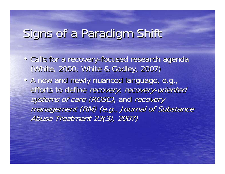### Signs of a Paradigm Shift

- Calls for a recovery-focused research agenda (White, 2000; White & Godley, 2007)
- A new and newly nuanced language, e.g., efforts to define recovery, recovery-oriented systems of care (ROSC), and recovery management (RM) (e.g., Journal of Substance Abuse Treatment 23(3), 2007)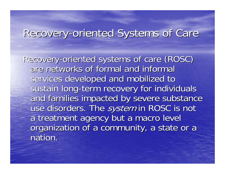#### Recovery-oriented Systems of Care

Recovery-oriented systems of care (ROSC) are networks of formal and informal are networks of formal and informal services developed and mobilized to sustain long-term recovery for individuals and families impacted by severe substance use disorders. The system in ROSC is not a treatment agency but a macro level organization of a community, a state or a nation.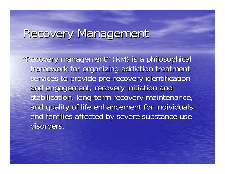#### Recovery Management

"Recovery management" (RM) is a philosophical framework for organizing addiction treatment services to provide pre-recovery identification and engagement, recovery initiation and stabilization, long-term recovery maintenance, and quality of life enhancement for individuals and families affected by severe substance use disorders.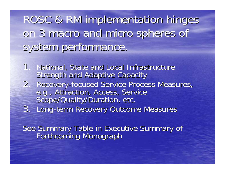ROSC & RM implementation hinges on 3 macro and micro spheres of system performance.

1. National, State and Local Infrastructure Strength and Adaptive Capacity 2. Recovery-focused Service Process Measures, e.g., Attraction, Access, Service<br>Scope/Quality/Duration, etc. 3. Long-term Recovery Outcome Measures

See Summary Table in Executive Summary of<br>Forthcoming Monograph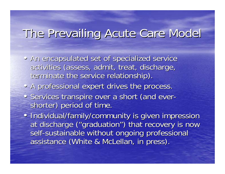### The Prevailing Acute Care Model The Prevailing Acute Care Model

- An encapsulated set of specialized service activities (assess, admit, treat, discharge, terminate the service relationship).
- A professional expert drives the process.
- Services transpire over a short (and ever- shorter) period of time.
- Individual/family/community is given impression at discharge ("graduation") that recovery is now self-sustainable without ongoing professional assistance (White & McLellan, in press).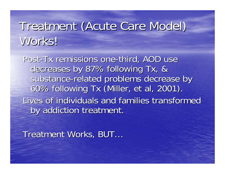## Treatment (Acute Care Model) Treatment (Acute Care Model) Works!

Post-Tx remissions one-third, AOD use decreases by 87% following Tx, & substance-related problems decrease by 60% following Tx (Miller, et al, 2001). Lives of individuals and families transformed by addiction treatment.

Treatment Works, BUT...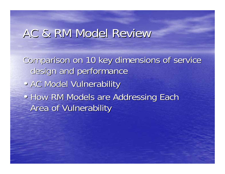#### AC & RM Model Review

Comparison on 10 key dimensions of service design and performance • AC Model Vulnerability • • How RM Models are Addressing Each **Area of Vulnerability**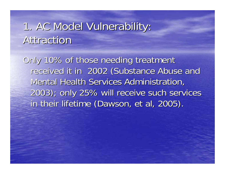#### 1. AC Model Vulnerability: 1. AC Model Vulnerability: Attraction

Only 10% of those needing treatment received it in 2002 (Substance Abuse and Mental Health Services Administration, 2003); only 25% will receive such services 2003); only 25% will receive such services in their lifetime (Dawson, et al, 2005).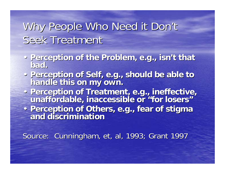#### Why People Who Need it Don't Seek Treatment

- Perception of the Problem, e.g., isn't that bad.
- **Perception of Self, e.g., should be able to Perception of Self, e.g., should be able to handle this on my own. handle this on my own.**
- Perception of Treatment, e.g., ineffective,<br>**unaffordable, inaccessible or "for losers" "**
- •**Perception of Others, e.g., fear of stigma Perception of Others, e.g., fear of stigma and discrimination and discrimination**

Source: Cunningham, et, al, 1993; Grant 1997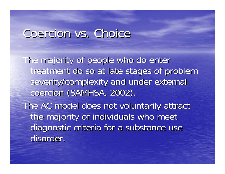#### Coercion vs. Choice

The majority of people who do enter treatment do so at late stages of problem severity/complexity and under external coercion (SAMHSA, 2002). The AC model does not voluntarily attract the majority of individuals who meet diagnostic criteria for a substance use disorder.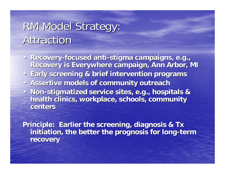#### RM Model Strategy: Attraction

- **· Recovery-focused anti-stigma campaigns, e.g., Recovery is Everywhere campaign, Ann Arbor, MI Recovery is Everywhere campaign, Ann Arbor, MI**
- •**Early screening & brief intervention programs Early screening & brief intervention programs**
- **Assertive models of community outreach**
- Non-stigmatized service sites, e.g., hospitals & **health clinics, workplace, schools, community health clinics, workplace, schools, community centers centers**

Principle: Earlier the screening, diagnosis & Tx initiation, the better the prognosis for long-term **recovery recovery**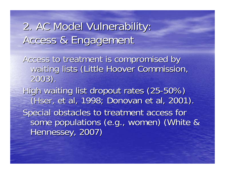### 2. AC Model Vulnerability: 2. AC Model Vulnerability: Access & Engagement

Access to treatment is compromised by Access to treatment is compromised by waiting lists (Little Hoover Commission, 2003).

High waiting list dropout rates (25-50%) (Hser, et al, 1998; Donovan et al, 2001). Special obstacles to treatment access for some populations (e.g., women) (White & Hennessey, 2007)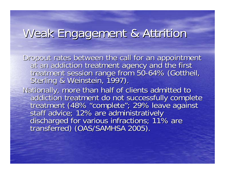#### Weak Engagement & Attrition

Dropout rates between the call for an appointment<br>at an addiction treatment agency and the first<br>treatment session range from 50-64% (Gottheil, treatment session range from 50-64% (Gottheil,<br>Sterling & Weinstein, 1997).

Nationally, more than half of clients admitted to<br>addiction treatment do not successfully complete<br>treatment (48% "complete"; 29% leave against<br>staff advice; 12% are administratively<br>discharged for various infractions; 11%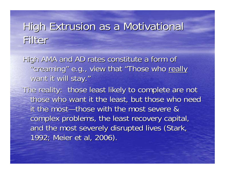#### High Extrusion as a Motivational Filter

High AMA and AD rates constitute a form of "creaming" e.g., view that "Those who really want it will stay."

The reality: those least likely to complete are not those who want it the least, but those who need it the most—those with the most severe & complex problems, the least recovery capital, and the most severely disrupted lives (Stark, 1992; Meier et al, 2006).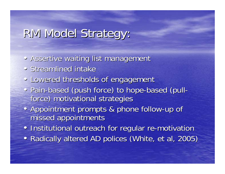### RM Model Strategy: RM Model Strategy:

- Assertive waiting list management
- Streamlined intake
- Lowered thresholds of engagement
- · Pain-based (push force) to hope-based (pullforce) motivational strategies
- Appointment prompts & phone follow-up of missed appointments
- Institutional outreach for regular re-motivation
- Radically altered AD polices (White, et al, 2005)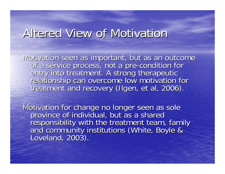#### Altered View of Motivation

Motivation seen as important, but as an outcome<br>of a service process, not a pre-condition for<br>entry into treatment. A strong therapeutic -condition for relationship can overcome low motivation for<br>treatment and recovery (Ilgen, et al, 2006).

Motivation for change no longer seen as sole<br>province of individual, but as a shared<br>responsibility with the treatment team, family<br>and community institutions (White, Boyle &<br>Loveland, 2003).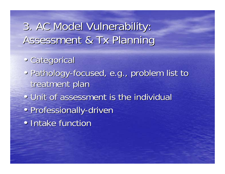3. AC Model Vulnerability: 3. AC Model Vulnerability: Assessment & Tx Planning

- Categorical
- Pathology-focused, e.g., problem list to treatment plan
- • Unit of assessment is the individual
- <u>।</u> • Professionally-driven
- • Intake function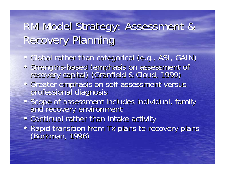### RM Model Strategy: Assessment & RM Model Strategy: Assessment & **Recovery Planning**

- Global rather than categorical (e.g., ASI, GAIN)
- Strengths-based (emphasis on assessment of capital) (Granfield & Cloud, 1999)
- Greater emphasis on self-assessment versus<br>professional diagnosis
- Scope of assessment includes individual, family and recovery environment
- Continual rather than intake activity
- Rapid transition from Tx plans to recovery plans (Borkman, 1998)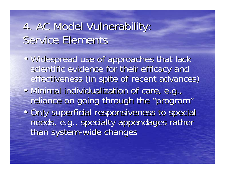#### 4. AC Model Vulnerability: 4. AC Model Vulnerability: Service Elements

- • Widespread use of approaches that lack scientific evidence for their efficacy and effectiveness (in spite of recent advances)
- • Minimal individualization of care, e.g., reliance on going through the "program"
- • Only superficial responsiveness to special needs, e.g., specialty appendages rather than system-wide changes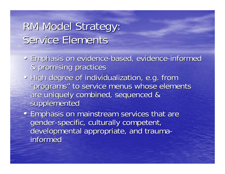#### RM Model Strategy: Service Elements

- Emphasis on evidence-based, evidence-informed & promising practices & promising practices
- High degree of individualization, e.g. from "programs" to service menus whose elements are uniquely combined, sequenced & supplemented
- Emphasis on mainstream services that are gender-specific, culturally competent, developmental appropriate, and traumainformed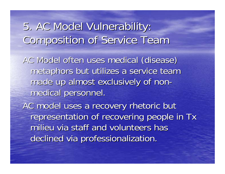5. AC Model Vulnerability: 5. AC Model Vulnerability: Composition of Service Team Composition of Service Team

AC Model often uses medical (disease) metaphors but utilizes a service team made up almost exclusively of nonmedical personnel.

AC model uses a recovery rhetoric but representation of recovering people in Tx milieu via staff and volunteers has declined via professionalization.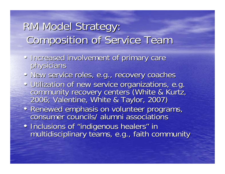### RM Model Strategy: Composition of Service Team Composition of Service Team

- Increased involvement of primary care physicians
- New service roles, e.g., recovery coaches
- Utilization of new service organizations, e.g.<br>community recovery centers (White & Kurtz,<br>2006; Valentine, White & Taylor, 2007)
- Renewed emphasis on volunteer programs, consumer councils/ alumni associations
- Inclusions of Inclusions of "indigenous healers" in<br>multidisciplinary teams, e.g., faith community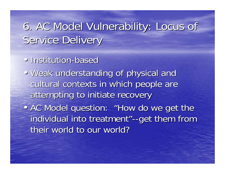### 6. AC Model Vulnerability: Locus of 6. AC Model Vulnerability: Locus of Service Delivery

- Institution-based
- Weak understanding of physical and cultural contexts in which people are attempting to initiate recovery
- AC Model question: "How do we get the individual into treatment"--get them from their world to our world?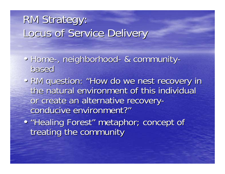### RM Strategy: Locus of Service Delivery

- Home-, neighborhood- & communitybased
- RM question: "How do we nest recovery in the natural environment of this individual or create an alternative recoveryconducive environment?"
- "Healing Forest" metaphor; concept of treating the community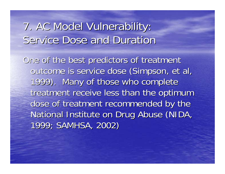#### 7. AC Model Vulnerability: 7. AC Model Vulnerability: Service Dose and Duration

One of the best predictors of treatment outcome is service dose (Simpson, et al, 1999). Many of those who complete treatment receive less than the optimum dose of treatment recommended by the National Institute on Drug Abuse (NIDA, 1999; SAMHSA, 2002)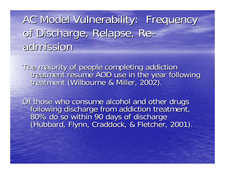AC Model Vulnerability: Frequency of Discharge, Relapse, Readmission

The majority of people completing addiction<br>treatment resume AOD use in the year following<br>treatment (Wilbourne & Miller, 2002).

Of those who consume alcohol and other drugs<br>following discharge from addiction treatment,<br>80% do so within 90 days of discharge<br>(Hubbard, Flynn, Craddock, & Fletcher, 2001).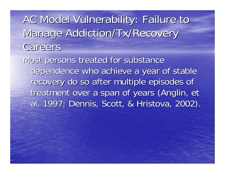AC Model Vulnerability: Failure to Manage Addiction/Tx/Recovery Careers

Most persons treated for substance dependence who achieve a year of stable recovery do so after multiple episodes of treatment over a span of years (Anglin, et al, 1997; Dennis, Scott, & Hristova, 2002).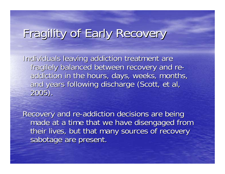### Fragility of Early Recovery

Individuals leaving addiction treatment are fragilely balanced between recovery and re- addiction in the hours, days, weeks, months, and years following discharge (Scott, et al, 2005).

Recovery and re-addiction decisions are being made at a time that we have disengaged from their lives, but that many sources of recovery sabotage are present.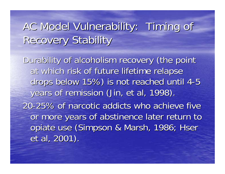### AC Model Vulnerability: Timing of **Recovery Stability**

Durability of alcoholism recovery (the point at which risk of future lifetime relapse drops below 15%) is not reached until 4-5 years of remission (Jin, et al, 1998). 20 -25% of narcotic addicts who achieve five 25% of narcotic addicts who achieve five or more years of abstinence later return to opiate use (Simpson & Marsh, 1986; Hser et al, 2001).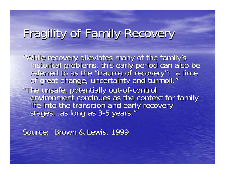## Fragility of Family Recovery

"While recovery alleviates many of the family's<br>historical problems, this early period can also be referred to as the "trauma of recovery": a time<br>of great change, uncertainty and turmoil." "The unsafe, potentially out-of-control<br>environment continues as the context for family<br>life into the transition and early recovery<br>stages...as long as 3-5 years."

Source: Brown & Lewis, 1999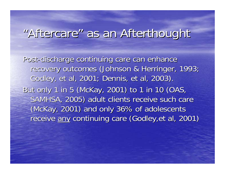#### "Aftercare" as an Afterthought

Post-discharge continuing care can enhance recovery outcomes (Johnson & Herringer, 1993; Godley, et al, 2001; Dennis, et al, 2003). But only 1 in 5 (McKay, 2001) to 1 in 10 (OAS, SAMHSA, 2005) adult clients receive such care (McKay, 2001) and only 36% of adolescents receive any continuing care (Godley,et al, 2001)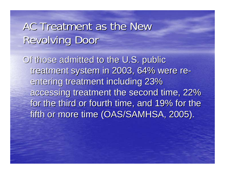#### AC Treatment as the New **Revolving Door**

Of those admitted to the U.S. public treatment system in 2003, 64% were re-entering treatment including 23% accessing treatment the second time, 22% for the third or fourth time, and 19% for the fifth or more time (OAS/SAMHSA, 2005).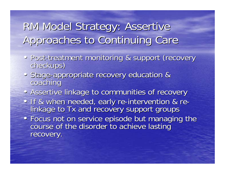### RM Model Strategy: Assertive Approaches to Continuing Care

- •Post Post-treatment monitoring & support (recovery checkups)
- Stage-appropriate recovery education &<br>coaching
- Assertive linkage to communities of recovery
- If & when needed, early re-intervention & re-<br>linkage to Tx and recovery support groups
- Focus not on service episode but managing the course of the disorder to achieve lasting recovery.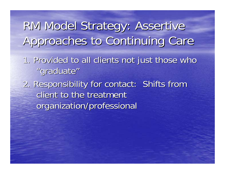RM Model Strategy: Assertive RM Model Strategy: Assertive Approaches to Continuing Care

- 1. Provided to all clients not just those who "graduate"
- 2. Responsibility for contact: Shifts from 2. Responsibility for contact: Shifts from client to the treatment organization/professional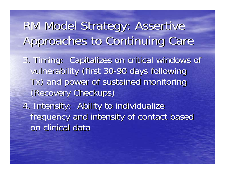# RM Model Strategy: Assertive RM Model Strategy: Assertive Approaches to Continuing Care

3. Timing: Capitalizes on critical windows of vulnerability (first 30-90 days following Tx) and power of sustained monitoring ) and power of sustained monitoring (Recovery Checkups)

4. Intensity: Ability to individualize frequency and intensity of contact based frequency and intensity of contact based on clinical data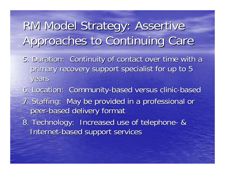# RM Model Strategy: Assertive RM Model Strategy: Assertive Approaches to Continuing Care

- 5. Duration: Continuity of contact over time with a primary recovery support specialist for up to 5 years
- 6. Location: Community-based versus clinic-based 7. Staffing: May be provided in a professional or peer -based delivery format based delivery format
- 8. Technology: Increased use of telephone- & Internet-based support services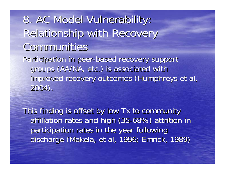8. AC Model Vulnerability: Relationship with Recovery Communities Communities Participation in peer-based recovery support groups (AA/NA, etc.) is associated with improved recovery outcomes (Humphreys et al, 2004). 2004).

This finding is offset by low Tx to community affiliation rates and high (35-68%) attrition in participation rates in the year following discharge (Makela, et al, 1996; Emrick, 1989)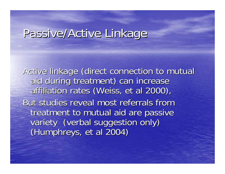### Passive/Active Linkage

Active linkage (direct connection to mutual aid during treatment) can increase affiliation rates (Weiss, et al 2000), But studies reveal most referrals from treatment to mutual aid are passive variety (verbal suggestion only) (Humphreys, et al 2004) (Humphreys, et al 2004)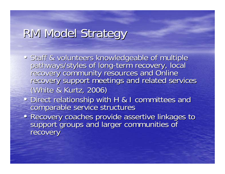## RM Model Strategy

- Staff & volunteers knowledgeable of multiple<br>pathways/styles of long-term recovery, local pathways/styles of long-term recovery, local<br>recovery community resources and Online<br>recovery support meetings and related services (White & Kurtz, 2006)
- Direct relationship with H & I committees and comparable service structures
- Recovery coaches provide assertive linkages to support groups and larger communities of recovery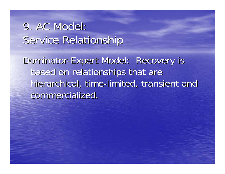### 9. AC Model: Service Relationship

Dominator-Expert Model: Recovery is based on relationships that are hierarchical, time-limited, transient and commercialized.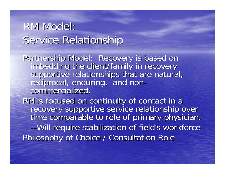#### RM Model: Service Relationship

Partnership Model: Recovery is based on<br>imbedding the client/family in recovery<br>supportive relationships that are natural,<br>reciprocal, enduring, and non-<br>commercialized.

RM is focused on continuity of contact in a<br>recovery supportive service relationship over<br>time comparable to role of primary physician. --Will require stabilization of field's workforce Philosophy of Choice / Consultation Role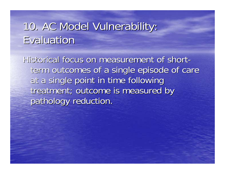### 10. AC Model Vulnerability: Evaluation

Historical focus on measurement of shortterm outcomes of a single episode of care at a single point in time following treatment; outcome is measured by pathology reduction.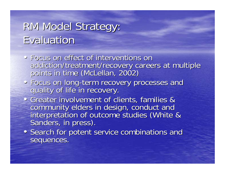### RM Model Strategy: **Evaluation**

- Focus on effect of interventions on addiction/treatment/recovery careers at multiple<br>points in time ( McLellan, 2002)
- Focus on long-term recovery processes and<br>quality of life in recovery.
- Greater involvement of clients, families & community elders in design, conduct and interpretation of outcome studies (White & interpretation of outcome studies (White &
- Search for potent service combinations and sequences.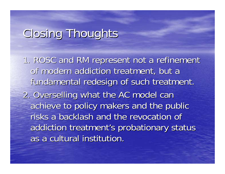### Closing Thoughts

1. ROSC and RM represent not a refinement of modern addiction treatment, but a fundamental redesign of such treatment. 2. Overselling what the AC model can 2. Overselling what the AC model can achieve to policy makers and the public risks a backlash and the revocation of addiction treatment's probationary status as a cultural institution.